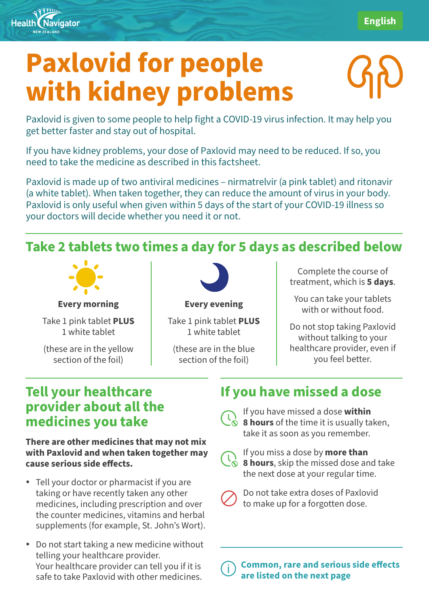# **Paxlovid for people with kidney problems**

Paxlovid is given to some people to help fight a COVID-19 virus infection. It may help you get better faster and stay out of hospital.

If you have kidney problems, your dose of Paxlovid may need to be reduced. If so, you need to take the medicine as described in this factsheet.

Paxlovid is made up of two antiviral medicines – nirmatrelvir (a pink tablet) and ritonavir (a white tablet). When taken together, they can reduce the amount of virus in your body. Paxlovid is only useful when given within 5 days of the start of your COVID-19 illness so your doctors will decide whether you need it or not.

### **Take 2 tablets two times a day for 5 days as described below**



**Health Navigator** NEW ZEAL AND

**Every morning**

Take 1 pink tablet **PLUS** 1 white tablet

(these are in the yellow section of the foil)



**Every evening**

Take 1 pink tablet **PLUS** 1 white tablet

(these are in the blue section of the foil)

Complete the course of treatment, which is **5 days**.

You can take your tablets with or without food.

Do not stop taking Paxlovid without talking to your healthcare provider, even if you feel better.

#### **Tell your healthcare provider about all the medicines you take**

**There are other medicines that may not mix with Paxlovid and when taken together may cause serious side effects.** 

- Tell your doctor or pharmacist if you are taking or have recently taken any other medicines, including prescription and over the counter medicines, vitamins and herbal supplements (for example, St. John's Wort).
- Do not start taking a new medicine without telling your healthcare provider. Your healthcare provider can tell you if it is safe to take Paxlovid with other medicines.

## **If you have missed a dose**

If you have missed a dose **within 8 hours** of the time it is usually taken, take it as soon as you remember.



If you miss a dose by **more than 8 hours**, skip the missed dose and take the next dose at your regular time.



Common, rare and serious side effects are listed on the next page